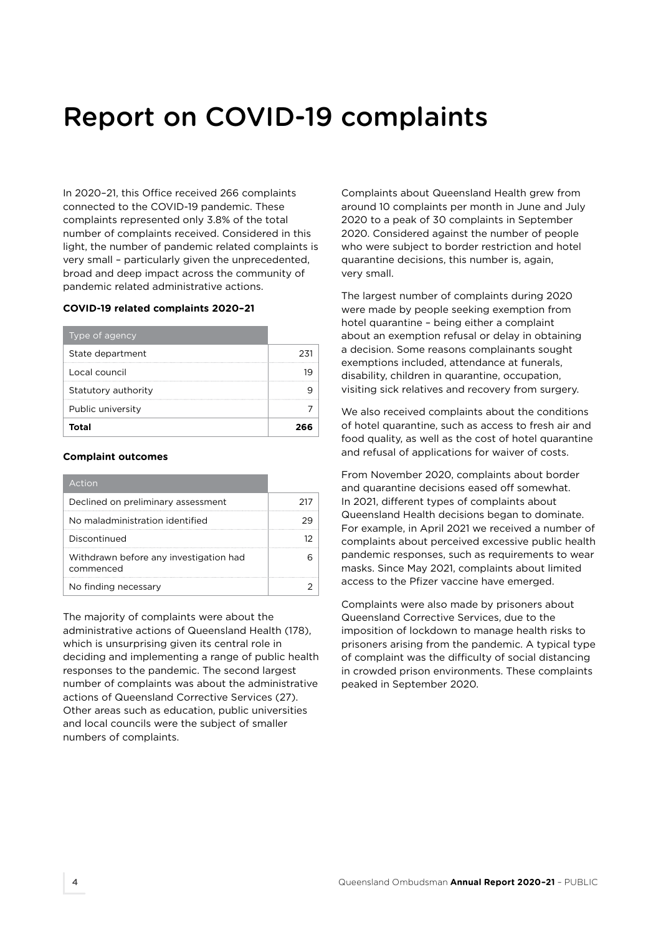## Report on COVID-19 complaints

In 2020–21, this Office received 266 complaints connected to the COVID-19 pandemic. These complaints represented only 3.8% of the total number of complaints received. Considered in this light, the number of pandemic related complaints is very small – particularly given the unprecedented, broad and deep impact across the community of pandemic related administrative actions.

## **COVID-19 related complaints 2020–21**

| Type of agency      |  |
|---------------------|--|
| State department    |  |
| Local council       |  |
| Statutory authority |  |
| Public university   |  |
| Total               |  |

## **Complaint outcomes**

| Action                                              |  |
|-----------------------------------------------------|--|
| Declined on preliminary assessment                  |  |
| No maladministration identified                     |  |
| Discontinued                                        |  |
| Withdrawn before any investigation had<br>commenced |  |
| No finding necessary                                |  |

The majority of complaints were about the administrative actions of Queensland Health (178), which is unsurprising given its central role in deciding and implementing a range of public health responses to the pandemic. The second largest number of complaints was about the administrative actions of Queensland Corrective Services (27). Other areas such as education, public universities and local councils were the subject of smaller numbers of complaints.

Complaints about Queensland Health grew from around 10 complaints per month in June and July 2020 to a peak of 30 complaints in September 2020. Considered against the number of people who were subject to border restriction and hotel quarantine decisions, this number is, again, very small.

The largest number of complaints during 2020 were made by people seeking exemption from hotel quarantine – being either a complaint about an exemption refusal or delay in obtaining a decision. Some reasons complainants sought exemptions included, attendance at funerals, disability, children in quarantine, occupation, visiting sick relatives and recovery from surgery.

We also received complaints about the conditions of hotel quarantine, such as access to fresh air and food quality, as well as the cost of hotel quarantine and refusal of applications for waiver of costs.

From November 2020, complaints about border and quarantine decisions eased off somewhat. In 2021, different types of complaints about Queensland Health decisions began to dominate. For example, in April 2021 we received a number of complaints about perceived excessive public health pandemic responses, such as requirements to wear masks. Since May 2021, complaints about limited access to the Pfizer vaccine have emerged.

Complaints were also made by prisoners about Queensland Corrective Services, due to the imposition of lockdown to manage health risks to prisoners arising from the pandemic. A typical type of complaint was the difficulty of social distancing in crowded prison environments. These complaints peaked in September 2020.